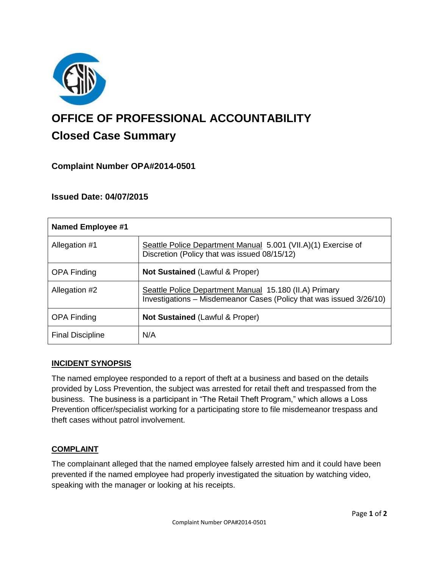

# **OFFICE OF PROFESSIONAL ACCOUNTABILITY Closed Case Summary**

## **Complaint Number OPA#2014-0501**

## **Issued Date: 04/07/2015**

| <b>Named Employee #1</b> |                                                                                                                               |
|--------------------------|-------------------------------------------------------------------------------------------------------------------------------|
| Allegation #1            | Seattle Police Department Manual 5.001 (VII.A)(1) Exercise of<br>Discretion (Policy that was issued 08/15/12)                 |
| <b>OPA Finding</b>       | <b>Not Sustained (Lawful &amp; Proper)</b>                                                                                    |
| Allegation #2            | Seattle Police Department Manual 15.180 (II.A) Primary<br>Investigations - Misdemeanor Cases (Policy that was issued 3/26/10) |
| <b>OPA Finding</b>       | <b>Not Sustained (Lawful &amp; Proper)</b>                                                                                    |
| <b>Final Discipline</b>  | N/A                                                                                                                           |

## **INCIDENT SYNOPSIS**

The named employee responded to a report of theft at a business and based on the details provided by Loss Prevention, the subject was arrested for retail theft and trespassed from the business. The business is a participant in "The Retail Theft Program," which allows a Loss Prevention officer/specialist working for a participating store to file misdemeanor trespass and theft cases without patrol involvement.

## **COMPLAINT**

The complainant alleged that the named employee falsely arrested him and it could have been prevented if the named employee had properly investigated the situation by watching video, speaking with the manager or looking at his receipts.